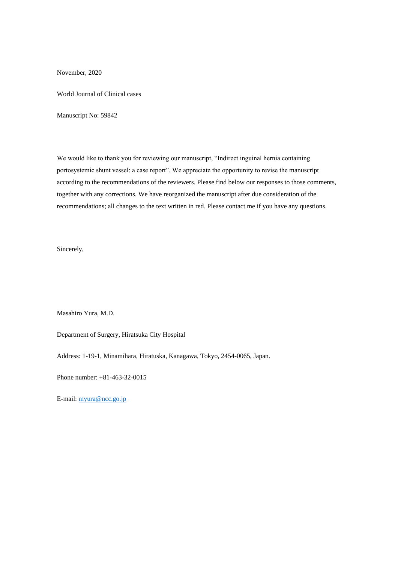November, 2020

World Journal of Clinical cases

Manuscript No: 59842

We would like to thank you for reviewing our manuscript, "Indirect inguinal hernia containing portosystemic shunt vessel: a case report". We appreciate the opportunity to revise the manuscript according to the recommendations of the reviewers. Please find below our responses to those comments, together with any corrections. We have reorganized the manuscript after due consideration of the recommendations; all changes to the text written in red. Please contact me if you have any questions.

Sincerely,

Masahiro Yura, M.D.

Department of Surgery, Hiratsuka City Hospital

Address: 1-19-1, Minamihara, Hiratuska, Kanagawa, Tokyo, 2454-0065, Japan.

Phone number: +81-463-32-0015

E-mail[: myura@ncc.go.jp](mailto:myura@ncc.go.jp)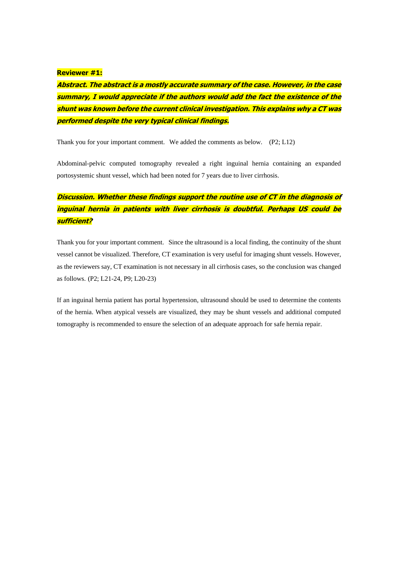#### **Reviewer #1:**

**Abstract. The abstract is a mostly accurate summary of the case. However, in the case summary, I would appreciate if the authors would add the fact the existence of the shunt was known before the current clinical investigation. This explains why a CT was performed despite the very typical clinical findings.**

Thank you for your important comment. We added the comments as below. (P2; L12)

Abdominal-pelvic computed tomography revealed a right inguinal hernia containing an expanded portosystemic shunt vessel, which had been noted for 7 years due to liver cirrhosis.

## **Discussion. Whether these findings support the routine use of CT in the diagnosis of inguinal hernia in patients with liver cirrhosis is doubtful. Perhaps US could be sufficient?**

Thank you for your important comment. Since the ultrasound is a local finding, the continuity of the shunt vessel cannot be visualized. Therefore, CT examination is very useful for imaging shunt vessels. However, as the reviewers say, CT examination is not necessary in all cirrhosis cases, so the conclusion was changed as follows. (P2; L21-24, P9; L20-23)

If an inguinal hernia patient has portal hypertension, ultrasound should be used to determine the contents of the hernia. When atypical vessels are visualized, they may be shunt vessels and additional computed tomography is recommended to ensure the selection of an adequate approach for safe hernia repair.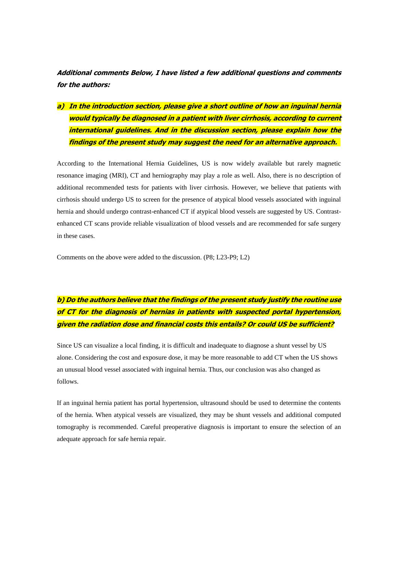**Additional comments Below, I have listed a few additional questions and comments for the authors:** 

**a) In the introduction section, please give a short outline of how an inguinal hernia would typically be diagnosed in a patient with liver cirrhosis, according to current international guidelines. And in the discussion section, please explain how the findings of the present study may suggest the need for an alternative approach.** 

According to the International Hernia Guidelines, US is now widely available but rarely magnetic resonance imaging (MRI), CT and herniography may play a role as well. Also, there is no description of additional recommended tests for patients with liver cirrhosis. However, we believe that patients with cirrhosis should undergo US to screen for the presence of atypical blood vessels associated with inguinal hernia and should undergo contrast-enhanced CT if atypical blood vessels are suggested by US. Contrastenhanced CT scans provide reliable visualization of blood vessels and are recommended for safe surgery in these cases.

Comments on the above were added to the discussion. (P8; L23-P9; L2)

# **b) Do the authors believe that the findings of the present study justify the routine use of CT for the diagnosis of hernias in patients with suspected portal hypertension, given the radiation dose and financial costs this entails? Or could US be sufficient?**

Since US can visualize a local finding, it is difficult and inadequate to diagnose a shunt vessel by US alone. Considering the cost and exposure dose, it may be more reasonable to add CT when the US shows an unusual blood vessel associated with inguinal hernia. Thus, our conclusion was also changed as follows.

If an inguinal hernia patient has portal hypertension, ultrasound should be used to determine the contents of the hernia. When atypical vessels are visualized, they may be shunt vessels and additional computed tomography is recommended. Careful preoperative diagnosis is important to ensure the selection of an adequate approach for safe hernia repair.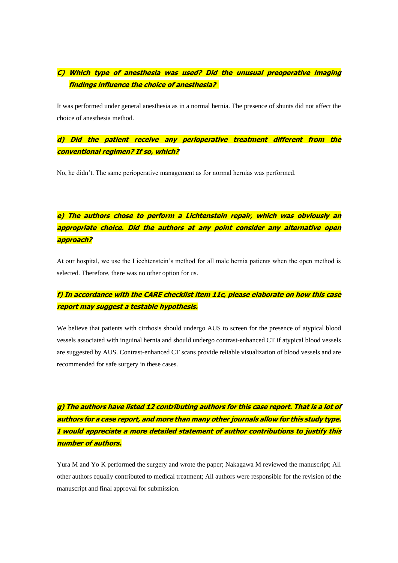## **C) Which type of anesthesia was used? Did the unusual preoperative imaging findings influence the choice of anesthesia?**

It was performed under general anesthesia as in a normal hernia. The presence of shunts did not affect the choice of anesthesia method.

#### **d) Did the patient receive any perioperative treatment different from the conventional regimen? If so, which?**

No, he didn't. The same perioperative management as for normal hernias was performed.

# **e) The authors chose to perform a Lichtenstein repair, which was obviously an appropriate choice. Did the authors at any point consider any alternative open approach?**

At our hospital, we use the Liechtenstein's method for all male hernia patients when the open method is selected. Therefore, there was no other option for us.

### **f) In accordance with the CARE checklist item 11c, please elaborate on how this case report may suggest a testable hypothesis.**

We believe that patients with cirrhosis should undergo AUS to screen for the presence of atypical blood vessels associated with inguinal hernia and should undergo contrast-enhanced CT if atypical blood vessels are suggested by AUS. Contrast-enhanced CT scans provide reliable visualization of blood vessels and are recommended for safe surgery in these cases.

**g) The authors have listed 12 contributing authors for this case report. That is a lot of authors for a case report, and more than many other journals allow for this study type. I would appreciate a more detailed statement of author contributions to justify this number of authors.**

Yura M and Yo K performed the surgery and wrote the paper; Nakagawa M reviewed the manuscript; All other authors equally contributed to medical treatment; All authors were responsible for the revision of the manuscript and final approval for submission.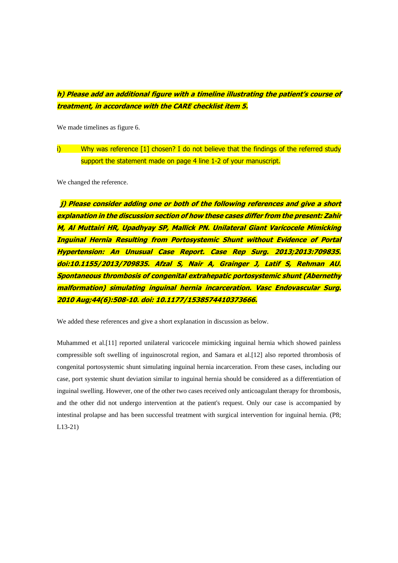## **h) Please add an additional figure with a timeline illustrating the patient's course of treatment, in accordance with the CARE checklist item 5.**

We made timelines as figure 6.

#### i) Why was reference  $\begin{bmatrix} 1 \end{bmatrix}$  chosen? I do not believe that the findings of the referred study support the statement made on page 4 line 1-2 of your manuscript.

We changed the reference.

**j) Please consider adding one or both of the following references and give a short explanation in the discussion section of how these cases differ from the present: Zahir M, Al Muttairi HR, Upadhyay SP, Mallick PN. Unilateral Giant Varicocele Mimicking Inguinal Hernia Resulting from Portosystemic Shunt without Evidence of Portal Hypertension: An Unusual Case Report. Case Rep Surg. 2013;2013:709835. doi:10.1155/2013/709835. Afzal S, Nair A, Grainger J, Latif S, Rehman AU. Spontaneous thrombosis of congenital extrahepatic portosystemic shunt (Abernethy malformation) simulating inguinal hernia incarceration. Vasc Endovascular Surg. 2010 Aug;44(6):508-10. doi: 10.1177/1538574410373666.**

We added these references and give a short explanation in discussion as below.

Muhammed et al.[11] reported unilateral varicocele mimicking inguinal hernia which showed painless compressible soft swelling of inguinoscrotal region, and Samara et al.[12] also reported thrombosis of congenital portosystemic shunt simulating inguinal hernia incarceration. From these cases, including our case, port systemic shunt deviation similar to inguinal hernia should be considered as a differentiation of inguinal swelling. However, one of the other two cases received only anticoagulant therapy for thrombosis, and the other did not undergo intervention at the patient's request. Only our case is accompanied by intestinal prolapse and has been successful treatment with surgical intervention for inguinal hernia. (P8; L13-21)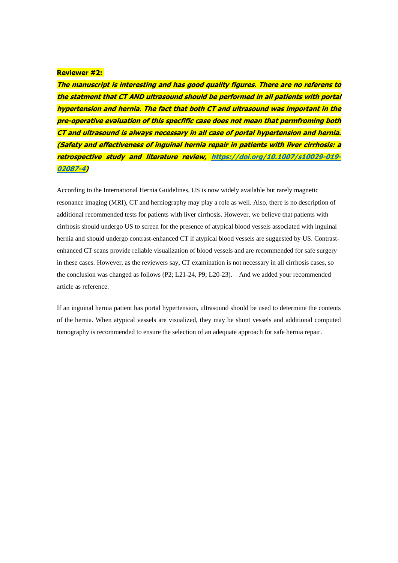#### **Reviewer #2:**

**The manuscript is interesting and has good quality figures. There are no referens to the statment that CT AND ultrasound should be performed in all patients with portal hypertension and hernia. The fact that both CT and ultrasound was important in the pre-operative evaluation of this specfific case does not mean that permfroming both CT and ultrasound is always necessary in all case of portal hypertension and hernia. (Safety and effectiveness of inguinal hernia repair in patients with liver cirrhosis: a retrospective study and literature review, [https://doi.org/10.1007/s10029-019-](https://doi.org/10.1007/s10029-019-02087-4) [02087-4\)](https://doi.org/10.1007/s10029-019-02087-4)**

According to the International Hernia Guidelines, US is now widely available but rarely magnetic resonance imaging (MRI), CT and herniography may play a role as well. Also, there is no description of additional recommended tests for patients with liver cirrhosis. However, we believe that patients with cirrhosis should undergo US to screen for the presence of atypical blood vessels associated with inguinal hernia and should undergo contrast-enhanced CT if atypical blood vessels are suggested by US. Contrastenhanced CT scans provide reliable visualization of blood vessels and are recommended for safe surgery in these cases. However, as the reviewers say, CT examination is not necessary in all cirrhosis cases, so the conclusion was changed as follows (P2; L21-24, P9; L20-23). And we added your recommended article as reference.

If an inguinal hernia patient has portal hypertension, ultrasound should be used to determine the contents of the hernia. When atypical vessels are visualized, they may be shunt vessels and additional computed tomography is recommended to ensure the selection of an adequate approach for safe hernia repair.